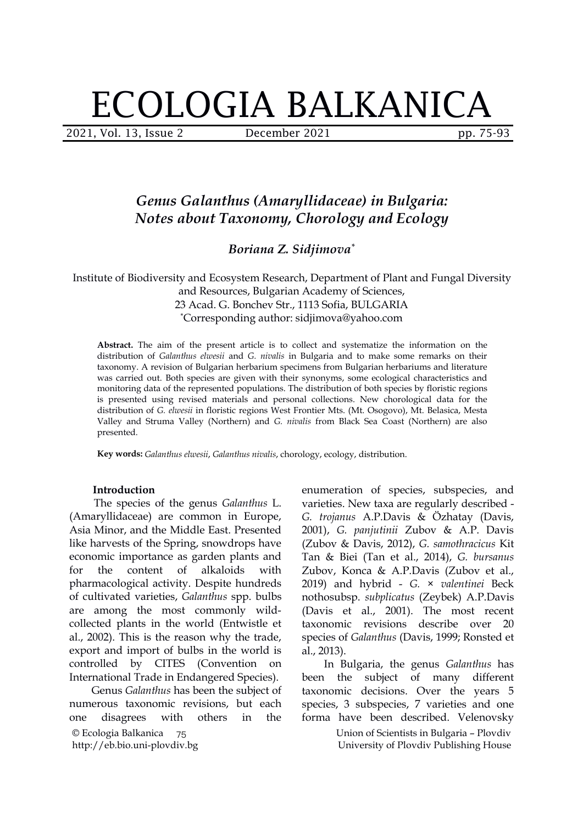# ECOLOGIA BALKANICA

2021, Vol. 13, Issue 2 December 2021 pp. 75-93

# *Genus Galanthus (Amaryllidaceae) in Bulgaria: Notes about Taxonomy, Chorology and Ecology*

*Boriana Z. Sidjimova \**

Institute of Biodiversity and Ecosystem Research, Department of Plant and Fungal Diversity and Resources, Bulgarian Academy of Sciences, 23 Acad. G. Bonchev Str., 1113 Sofia, BULGARIA \*Corresponding author: sidjimova@yahoo.com

**Abstract.** The aim of the present article is to collect and systematize the information on thedistribution of *Galanthus elwesii* and *G. nivalis* in Bulgaria and to make some remarks on their taxonomy. A revision of Bulgarian herbarium specimens from Bulgarian herbariums and literature was carried out. Both species are given with their synonyms, some ecological characteristics and monitoring data of the represented populations. The distribution of both species by floristic regions is presented using revised materials and personal collections. New chorological data for the distribution of *G. elwesii* in floristic regions West Frontier Mts. (Mt. Osogovo), Mt. Belasica, Mesta Valley and Struma Valley (Northern) and *G. nivalis* from Black Sea Coast (Northern) are also presented.

**Key words:** *Galanthus elwesii*, *Galanthus nivalis*, chorology, ecology, distribution.

#### **Introduction**

The species of the genus *Galanthus* L. (Amaryllidaceae) are common in Europe, Asia Minor, and the Middle East. Presented like harvests of the Spring, snowdrops have economic importance as garden plants and for the content of alkaloids with Zubov, Konca & A.P.Davis (Zubov et al., pharmacological activity. Despite hundreds of cultivated varieties, *Galanthus* spp. bulbs are among the most commonly wild collected plants in the world (Entwistle et al., 2002). This is the reason why the trade, export and import of bulbs in the world is controlled by CITES (Convention on International Trade in Endangered Species).

© Ecologia Balkanica http://eb.bio.uni-plovdiv.bg 75 Genus *Galanthus* has been the subject of numerous taxonomic revisions, but each one disagrees with others in the forma have been described. Velenovsky

enumeration of species, subspecies, and varieties. New taxa are regularly described - *G. trojanus* A.P.Davis & Özhatay (Davis, 2001), *G. panjutinii* Zubov & A.P. Davis (Zubov & Davis, 2012), *G. samothracicus* Kit Tan & Biei (Tan et al., 2014), *G. bursanus* 2019) and hybrid - *G. × valentinei* Beck nothosubsp. *subplicatus* (Zeybek) A.P.Davis (Davis et al., 2001). The most recent taxonomic revisions describe over 20 species of *Galanthus* (Davis, 1999; Ronsted et al., 2013).

In Bulgaria, the genus *Galanthus* has been the subject of many different taxonomic decisions. Over the years 5 species, 3 subspecies, 7 varieties and one

> Union of Scientists in Bulgaria – Plovdiv University of Plovdiv Publishing House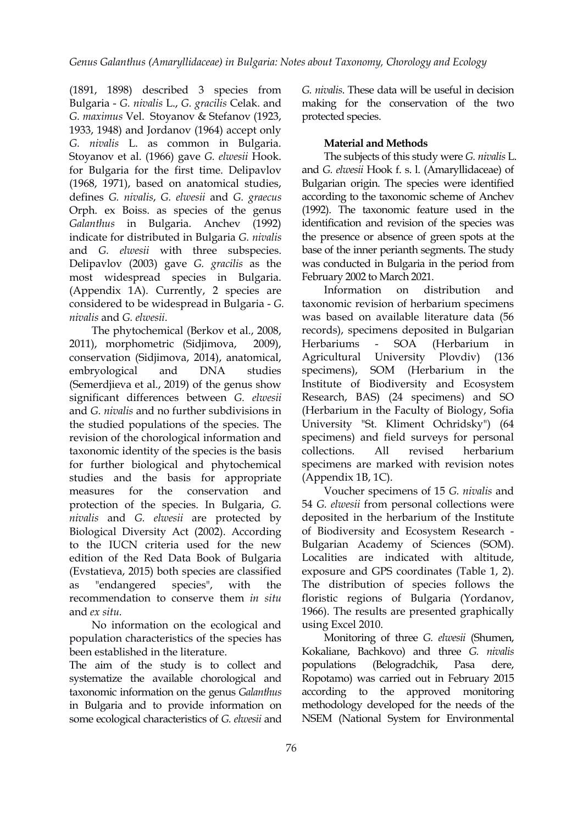(1891, 1898) described 3 species from Bulgaria - *G. nivalis* L., *G.gracilis* Celak. and *G. maximus* Vel. Stoyanov & Stefanov(1923, 1933, 1948) and Jordanov (1964) accept only *G. nivalis* L. as common in Bulgaria. Stoyanov et al. (1966) gave *G. elwesii* Hook. for Bulgaria for the first time. Delipavlov (1968, 1971), based on anatomical studies, defines *G. nivalis*, *G. elwesii* and *G. graecus* Orph. ex Boiss. as species of the genus *Galanthus* in Bulgaria. Anchev (1992) indicate for distributed in Bulgaria *G. nivalis* and *G. elwesii* with three subspecies. Delipavlov (2003) gave *G. gracilis* as the most widespread species in Bulgaria. (Appendix 1A). Currently, 2 species are considered to bewidespread in Bulgaria - *G. nivalis* and *G. elwesii*.

The phytochemical (Berkov et al., 2008, 2011), morphometric (Sidjimova, 2009), conservation (Sidjimova, 2014), anatomical, embryological and DNA studies specimens), (Semerdjieva et al., 2019) of the genus show significant differences between *G. elwesii* and *G. nivalis*and no further subdivisions in the studied populations of the species. The revision of the chorological information and taxonomic identity of the species is the basis for further biological and phytochemical studies and the basis for appropriate measures for the conservation and Voucher specimens of 15 *G. nivalis* and protection of the species. In Bulgaria, *G. nivalis* and *G. elwesii* are protected by Biological Diversity Act (2002). According to the IUCN criteria used for the new edition of the Red Data Book of Bulgaria (Evstatieva, 2015) both species are classified as "endangered species", with the The distribution of species follows the recommendation to conserve them *in situ* and *ex situ.*

No information on the ecological and population characteristics of the species has been established in the literature.

The aim of the study is to collect and populations systematize the available chorological and taxonomic information on the genus *Galanthus* in Bulgaria and to provide information on some ecological characteristics of *G. elwesii* and

*G. nivalis*. These data will be useful in decision making for the conservation of the two protected species.

# **Material and Methods**

The subjects of this study were *G. nivalis* L. and *G. elwesii* Hook f. s. l. (Amaryllidaceae) of Bulgarian origin. The species were identified according to the taxonomic scheme of Anchev (1992). The taxonomic feature used in the identification and revision of the species was the presence or absence of green spots at the base of the inner perianth segments. The study was conducted in Bulgaria in the period from February 2002 to March 2021.

Information on distribution and taxonomic revision of herbarium specimens was based on available literature data (56 records), specimens deposited in Bulgarian - SOA (Herbarium in Agricultural University Plovdiv) (136 SOM (Herbarium in the Institute of Biodiversity and Ecosystem Research, BAS) (24 specimens) and SO (Herbarium in the Faculty of Biology, Sofia University "St. Kliment Ochridsky") (64 specimens) and field surveys for personal collections. All revised herbarium specimens are marked with revision notes (Appendix 1B, 1C).

54 *G. elwesii* from personal collections were deposited in the herbarium of the Institute of Biodiversity and Ecosystem Research - Bulgarian Academy of Sciences (SOM). Localities are indicated with altitude, exposure and GPS coordinates (Table 1, 2). floristic regions of Bulgaria (Yordanov, 1966). The results are presented graphically using Excel 2010.

Monitoring of three *G. elwesii* (Shumen, Kokaliane, Bachkovo) and three *G. nivalis* (Belogradchik, Pasa dere, Ropotamo) was carried out in February 2015 according to the approved monitoring methodology developed for the needs of the NSEM (National System for Environmental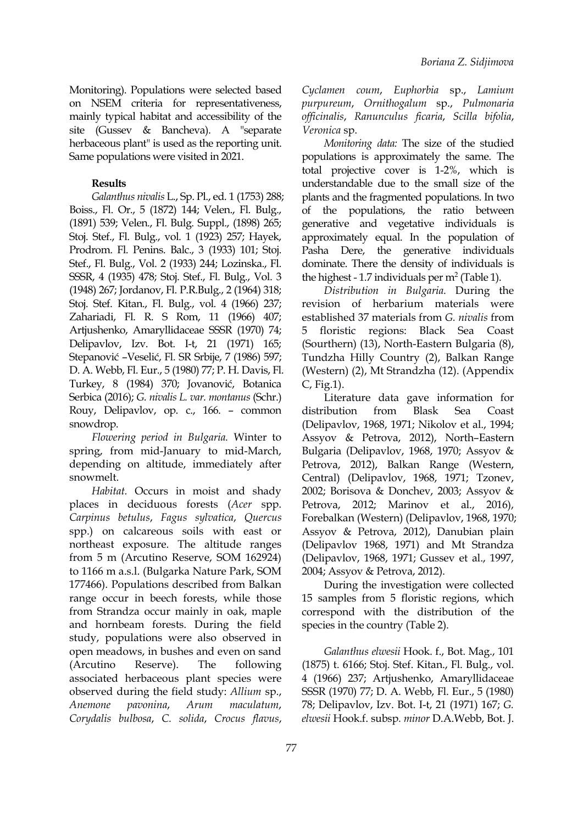Monitoring). Populations were selected based on NSEM criteria for representativeness, mainly typical habitat and accessibility of the site (Gussev & Bancheva). A "separate herbaceous plant" is used as the reporting unit. Same populations were visited in 2021.

# **Results**

*Galanthus nivalis* L., Sp. Pl., ed. 1 (1753) 288; Boiss., Fl. Or., 5 (1872) 144; Velen., Fl. Bulg., (1891) 539; Velen., Fl. Bulg. Suppl., (1898) 265; Stoj. Stef., Fl. Bulg., vol. 1 (1923) 257; Hayek, Prodrom. Fl. Penins. Balc., 3 (1933) 101; Stoj. Stef., Fl. Bulg., Vol. 2 (1933) 244; Lozinska., Fl. SSSR, 4 (1935) 478; Stoj. Stef., Fl. Bulg., Vol. 3 (1948) 267; Jordanov, Fl. P.R.Bulg., 2 (1964) 318; Stoj. Stef. Kitan., Fl. Bulg., vol. 4 (1966) 237; Zahariadi, Fl. R. S Rom, 11 (1966) 407; Artjushenko, Amaryllidaceae SSSR (1970) 74; Delipavlov, Izv. Bot. I-t, 21 (1971) 165; Stepanović -Veselić, Fl. SR Srbije, 7 (1986) 597; D. A. Webb, Fl. Eur., 5 (1980) 77; P. H. Davis, Fl. Turkey, 8 (1984) 370; Jovanović, Botanica Serbica (2016); *G. nivalis L. var. montanus* (Schr.) Rouy, Delipavlov, op. c., 166. – common snowdrop.

*Flowering period in Bulgaria.* Winter to spring, from mid-January to mid-March, depending on altitude, immediately after snowmelt.

*Habitat.* Occurs in moist and shady places in deciduous forests (*Acer* spp. *Carpinus betulus*, *Fagus sylvatica*, *Quercus* spp.) on calcareous soils with east or northeast exposure. The altitude ranges from 5 m (Arcutino Reserve, SOM 162924) to 1166 m a.s.l.(Bulgarka Nature Park, SOM 177466). Populations described from Balkan range occur in beech forests, while those from Strandza occur mainly in oak, maple and hornbeam forests. During the field study, populations were also observed in open meadows, in bushes and even on sand (Arcutino Reserve). The following (1875) t. 6166; Stoj. Stef. Kitan., Fl. Bulg., vol. associated herbaceous plant species were observed during the field study: *Allium* sp., *Anemone pavonina*, *Arum maculatum*, 78; Delipavlov, Izv. Bot. I-t, 21 (1971) 167; *G. Corydalis bulbosa*, *C. solida*, *Crocus flavus*,

*Cyclamen coum*, *Euphorbia* sp., *Lamium purpureum*, *Ornithogalum* sp., *Pulmonaria of icinalis*, *Ranunculus ficaria*, *Scilla bifolia*, *Veronica* sp.

*Monitoring data:* The size of the studied populations is approximately the same. The total projective cover is 1-2%, which is understandable due to the small size of the plants and the fragmented populations. In two of the populations, the ratio between generative and vegetative individuals is approximately equal. In the population of Pasha Dere, the generative individuals dominate. There the density of individuals is the highest - 1.7 individuals per  $m<sup>2</sup>$  (Table 1).

*Distribution in Bulgaria.* During the revision of herbarium materials were established 37 materials from *G. nivalis* from 5 floristic regions: Black Sea Coast (Sourthern) (13), North-Eastern Bulgaria (8), Tundzha Hilly Country (2), Balkan Range (Western) (2), Mt Strandzha (12). (Appendix C, Fig.1).

Literature data gave information for distribution from Blask Sea Coast (Delipavlov, 1968, 1971; Nikolov et al., 1994; Assyov & Petrova,2012), North–Eastern Bulgaria (Delipavlov, 1968, 1970; Assyov & Petrova, 2012), Balkan Range (Western, Central) (Delipavlov, 1968, 1971; Tzonev, 2002; Borisova & Donchev, 2003; Assyov & Petrova, 2012; Marinov et al., 2016), Forebalkan (Western) (Delipavlov, 1968, 1970; Assyov & Petrova, 2012), Danubian plain (Delipavlov 1968, 1971) and Mt Strandza (Delipavlov, 1968, 1971; Gussev et al., 1997, 2004; Assyov & Petrova, 2012).

During the investigation were collected 15 samples from 5 floristic regions, which correspond with the distribution of the species in the country (Table 2).

*Galanthus elwesii* Hook. f., Bot. Mag., 101 4 (1966)237; Artjushenko, Amaryllidaceae SSSR (1970) 77;D. A. Webb, Fl. Eur., 5 (1980) *elwesii* Hook.f. subsp*. minor* D.A.Webb, Bot. J.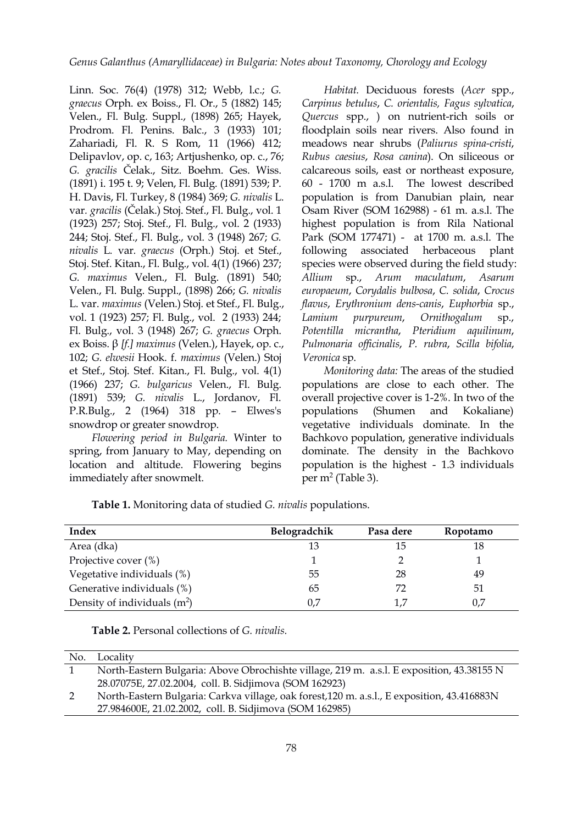Linn. Soc. 76(4) (1978) 312; Webb, l.c.; *G. graecus* Orph. ex Boiss., Fl. Or., 5 (1882) 145; Velen., Fl. Bulg. Suppl., (1898) 265; Hayek, Prodrom. Fl. Penins. Balc., 3 (1933) 101; Zahariadi, Fl. R. S Rom, 11 (1966) 412; Delipavlov, op. c, 163; Artjushenko, op. c., 76; *G. gracilis* Čelak., Sitz. Boehm. Ges. Wiss. (1891) i. 195 t. 9; Velen, Fl. Bulg. (1891) 539; P. H. Davis, Fl. Turkey, 8 (1984) 369; *G. nivalis* L. var*. gracilis* (Čelak.) Stoj. Stef., Fl. Bulg., vol. 1 (1923) 257; Stoj. Stef., Fl. Bulg., vol. 2 (1933) 244; Stoj. Stef., Fl. Bulg., vol. 3 (1948) 267; *G. nivalis* L*.* var*. graecus* (Orph.) Stoj. et Stef., Stoj. Stef. Kitan., Fl. Bulg., vol. 4(1) (1966) 237; *G. maximus* Velen., Fl. Bulg. (1891) 540; Velen., Fl. Bulg. Suppl., (1898) 266; *G. nivalis* L. var. *maximus* (Velen.) Stoj. et Stef., Fl. Bulg., vol. 1 (1923) 257; Fl. Bulg., vol. 2 (1933) 244; Fl. Bulg., vol. 3 (1948) 267; *G. graecus* Orph. ex Boiss. β *[f.] maximus* (Velen.), Hayek, op. c., 102; *G. elwesii* Hook. f. *maximus* (Velen.) Stoj et Stef., Stoj. Stef. Kitan., Fl. Bulg., vol. 4(1) (1966) 237; *G. bulgaricus* Velen., Fl. Bulg. (1891) 539; *G. nivalis* L., Jordanov, Fl. P.R.Bulg., 2 (1964) 318 pp. – Elwes's snowdrop or greater snowdrop.

*Flowering period in Bulgaria.* Winter to spring, from January to May, depending on location and altitude. Flowering begins immediately after snowmelt.

*Habitat.* Deciduous forests (*Acer* spp., *Carpinus betulus*, *C. orientalis, Fagus sylvatica*, *Quercus* spp., ) on nutrient-rich soils or floodplain soils near rivers. Also found in meadows near shrubs (*Paliurus spina-cristi*, *Rubus caesius*, *Rosa canina*).On siliceous or calcareous soils, east or northeast exposure, 60 - 1700 m a.s.l. The lowest described population is from Danubian plain, near Osam River (SOM 162988) - 61 m. a.s.l. The highest population is from Rila National Park (SOM 177471) - at 1700 m. a.s.l. The following associated herbaceous plant species were observed during the field study: *Arum maculatum, Asarum europaeum*, *Corydalis bulbosa*, *C. solida*, *Crocus flavus*, *Erythronium dens-canis*, *Euphorbia* sp., *Lamium purpureum*, *Ornithogalum* sp., *Potentilla micrantha*, *Pteridium aquilinum*, *Pulmonaria of icinalis*, *P. rubra*, *Scilla bifolia*, *Veronica* sp.

*Monitoring data:* The areas of the studied populations are close to each other. The overall projective cover is 1-2%. In two of the populations (Shumen and Kokaliane) vegetative individuals dominate. In the Bachkovo population, generative individuals dominate. The density in the Bachkovo population is the highest - 1.3 individuals per  $m^2$  (Table 3).

| Index                          | Belogradchik | Pasa dere | Ropotamo |
|--------------------------------|--------------|-----------|----------|
| Area (dka)                     | 13           | 15        | 18       |
| Projective cover $(\%)$        |              |           |          |
| Vegetative individuals (%)     | 55           | 28        | 49       |
| Generative individuals (%)     | 65           |           | 51       |
| Density of individuals $(m^2)$ | 0,7          |           | 0,7      |

**Table 1.** Monitoring data of studied *G. nivalis* populations.

| <b>Table 2.</b> Personal collections of G. nivalis. |  |
|-----------------------------------------------------|--|
|-----------------------------------------------------|--|

| No. | Locality                                                                                    |
|-----|---------------------------------------------------------------------------------------------|
|     | North-Eastern Bulgaria: Above Obrochishte village, 219 m. a.s.l. E exposition, 43.38155 N   |
|     | 28.07075E, 27.02.2004, coll. B. Sidjimova (SOM 162923)                                      |
|     | North-Eastern Bulgaria: Carkva village, oak forest, 120 m. a.s.l., E exposition, 43.416883N |
|     | 27.984600E, 21.02.2002, coll. B. Sidjimova (SOM 162985)                                     |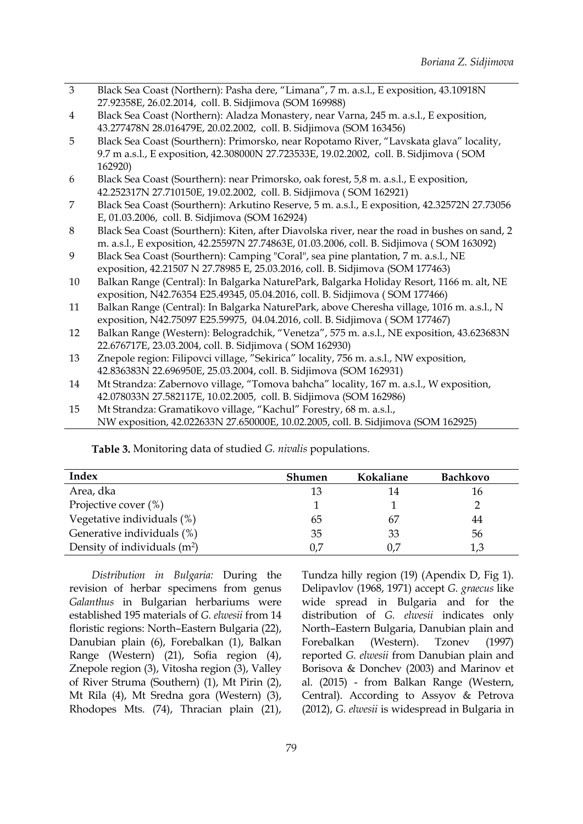3 Black Sea Coast (Northern): Pasha dere, "Limana", 7 m. a.s.l., E exposition, 43.10918N 27.92358E, 26.02.2014, coll. B. Sidjimova (SOM 169988)

4 Black Sea Coast (Northern): Aladza Monastery, near Varna, 245 m. a.s.l., E exposition, 43.277478N 28.016479E, 20.02.2002, coll. B. Sidjimova (SOM 163456)

- 5 Black Sea Coast (Sourthern): Primorsko, near Ropotamo River, "Lavskata glava" locality, 9.7 m a.s.l., E exposition, 42.308000N 27.723533E, 19.02.2002, coll. B. Sidjimova ( SOM 162920)
- 6 Black Sea Coast (Sourthern): near Primorsko, oak forest, 5,8 m. a.s.l., E exposition, 42.252317N 27.710150E, 19.02.2002, coll. B. Sidjimova ( SOM 162921)
- 7 Black Sea Coast (Sourthern): Arkutino Reserve, 5 m. a.s.l., Е exposition, 42.32572N 27.73056 E, 01.03.2006, coll. B. Sidjimova (SOM 162924)
- 8 Black Sea Coast (Sourthern): Kiten, after Diavolska river, near the road in bushes on sand, 2 m. a.s.l., Е exposition, 42.25597N 27.74863E, 01.03.2006, coll. B. Sidjimova ( SOM 163092)
- 9 Black Sea Coast (Sourthern): Camping "Coral", sea pine plantation, 7 m. a.s.l., NE exposition, 42.21507 N 27.78985 E, 25.03.2016, coll. B. Sidjimova (SOM 177463)
- 10 Balkan Range (Central): In Balgarka NaturePark, Balgarka Holiday Resort, 1166 m. alt, NE exposition, N42.76354 E25.49345, 05.04.2016, coll. B. Sidjimova ( SOM 177466)
- 11 Balkan Range (Central): In Balgarka NaturePark, above Cheresha village, 1016 m. a.s.l., N exposition, N42.75097 E25.59975, 04.04.2016, coll. B. Sidjimova ( SOM 177467)
- 12 Balkan Range (Western): Belogradchik, "Venetza", 575 m. a.s.l., NE exposition, 43.623683N 22.676717E, 23.03.2004, coll. B. Sidjimova ( SOM 162930)
- 13 Znepole region: Filipovci village, "Sekirica" locality, 756 m. a.s.l., NW exposition, 42.836383N 22.696950E, 25.03.2004, coll. B. Sidjimova (SOM 162931)
- 14 Mt Strandza: Zabernovo village, "Tomova bahcha" locality, 167 m. a.s.l., W exposition, 42.078033N 27.582117E, 10.02.2005, coll. B. Sidjimova (SOM 162986)
- 15 Mt Strandza: Gramatikovo village, "Kachul" Forestry, 68 m. a.s.l., NW exposition, 42.022633N 27.650000E, 10.02.2005, coll. B. Sidjimova (SOM 162925)

| Index                          | <b>Shumen</b> | Kokaliane | <b>Bachkovo</b> |
|--------------------------------|---------------|-----------|-----------------|
| Area, dka                      | 13            | 14        | 16              |
| Projective cover $(\%)$        |               |           |                 |
| Vegetative individuals (%)     | 65            | 67        | 44              |
| Generative individuals (%)     | 35            | 33        | 56              |
| Density of individuals $(m^2)$ | 0,7           | 0.7       |                 |

**Table 3.** Monitoring data of studied *G. nivalis* populations.

*Distribution in Bulgaria:* During the revision of herbar specimens from genus *Galanthus* in Bulgarian herbariums were established 195 materials of *G. elwesii* from 14 floristic regions: North–Eastern Bulgaria (22), Danubian plain (6), Forebalkan (1), Balkan Forebalkan (Western). Range (Western) (21), Sofia region (4), Znepole region (3), Vitosha region (3), Valley of River Struma (Southern) (1), Mt Pirin (2), Mt Rila (4), Mt Sredna gora (Western) (3), Rhodopes Mts. (74), Thracian plain (21),

Tundza hilly region (19) (Apendix D, Fig 1). Delipavlov (1968, 1971) accept *G. graecus* like wide spread in Bulgaria and for the distribution of *G. elwesii* indicates only North–Eastern Bulgaria, Danubian plain and Forebalkan (Western). Tzonev (1997) reported *G. elwesii* from Danubian plain and Borisova & Donchev (2003) and Marinov et al. (2015) - from Balkan Range (Western, Central). According to Assyov & Petrova (2012), *G. elwesii* is widespread in Bulgaria in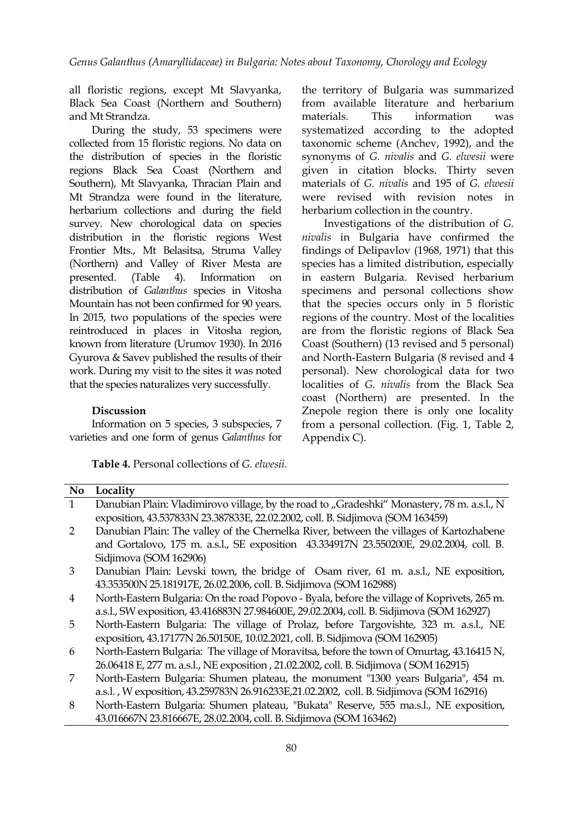all floristic regions, except Mt Slavyanka, Black Sea Coast (Northern and Southern) and Mt Strandza.

During the study, 53 specimens were collected from 15 floristic regions. No data on the distribution of species in the floristic regions Black Sea Coast (Northern and Southern), Mt Slavyanka, Thracian Plain and Mt Strandza were found in the literature, herbarium collections and during the field survey. New chorological data on species distribution in the floristic regions West Frontier Mts., Mt Belasitsa, Struma Valley (Northern) and Valley of River Mesta are presented. (Table 4). Information on in eastern Bulgaria. Revised herbarium distribution of *Galanthus* species in Vitosha Mountain has not been confirmed for 90 years. In 2015, two populations of the species were reintroduced in places in Vitosha region, known from literature (Urumov 1930). In 2016 Gyurova & Savev published the results of their work. During my visit to the sites it was noted that the species naturalizes very successfully.

#### **Discussion**

Information on 5 species, 3 subspecies, 7 varieties and one form of genus *Galanthus* for

**Table 4.** Personal collections of *G. elwesii.*

the territory of Bulgaria was summarized from available literature and herbarium materials. This information was systematized according to the adopted taxonomic scheme (Anchev,1992), and the synonyms of *G. nivalis* and *G. elwesii* were given in citation blocks. Thirty seven materials of *G. nivalis* and 195 of *G. elwesii* were revised with revision notes in herbarium collection in the country.

Investigations of the distribution of *G. nivalis* in Bulgaria have confirmed the findings of Delipavlov (1968, 1971) that this species has a limited distribution, especially specimens and personal collections show that the species occurs only in 5 floristic regions of the country. Most of the localities are from the floristic regions of Black Sea Coast (Southern) (13 revised and 5 personal) and North-Eastern Bulgaria (8 revised and 4 personal). New chorological data for two localities of *G. nivalis* from the Black Sea coast (Northern) are presented. In the Znepole region there is only one locality from a personal collection. (Fig. 1, Table 2, Appendix C).

| No.          | Locality                                                                                    |
|--------------|---------------------------------------------------------------------------------------------|
| $\mathbf{1}$ | Danubian Plain: Vladimirovo village, by the road to "Gradeshki" Monastery, 78 m. a.s.l., N  |
|              | exposition, 43.537833N 23.387833E, 22.02.2002, coll. B. Sidjimova (SOM 163459)              |
| 2            | Danubian Plain: The valley of the Chernelka River, between the villages of Kartozhabene     |
|              | and Gortalovo, 175 m. a.s.l., SE exposition 43.334917N 23.550200E, 29.02.2004, coll. B.     |
|              | Sidjimova (SOM 162906)                                                                      |
| 3            | Danubian Plain: Levski town, the bridge of Osam river, 61 m. a.s.l., NE exposition,         |
|              | 43.353500N 25.181917E, 26.02.2006, coll. B. Sidjimova (SOM 162988)                          |
| 4            | North-Eastern Bulgaria: On the road Popovo - Byala, before the village of Koprivets, 265 m. |
|              | a.s.l., SW exposition, 43.416883N 27.984600E, 29.02.2004, coll. B. Sidjimova (SOM 162927)   |
| 5            | North-Eastern Bulgaria: The village of Prolaz, before Targovishte, 323 m. a.s.l., NE        |
|              | exposition, 43.17177N 26.50150E, 10.02.2021, coll. B. Sidjimova (SOM 162905)                |
| 6            | North-Eastern Bulgaria: The village of Moravitsa, before the town of Omurtag, 43.16415 N,   |
|              | 26.06418 E, 277 m. a.s.l., NE exposition, 21.02.2002, coll. B. Sidjimova (SOM 162915)       |
| 7            | North-Eastern Bulgaria: Shumen plateau, the monument "1300 years Bulgaria", 454 m.          |
|              | a.s.l., W exposition, 43.259783N 26.916233E,21.02.2002, coll. B. Sidjimova (SOM 162916)     |
| 8            | North-Eastern Bulgaria: Shumen plateau, "Bukata" Reserve, 555 ma.s.l., NE exposition,       |

43.016667N 23.816667E, 28.02.2004, coll. B. Sidjimova (SOM 163462)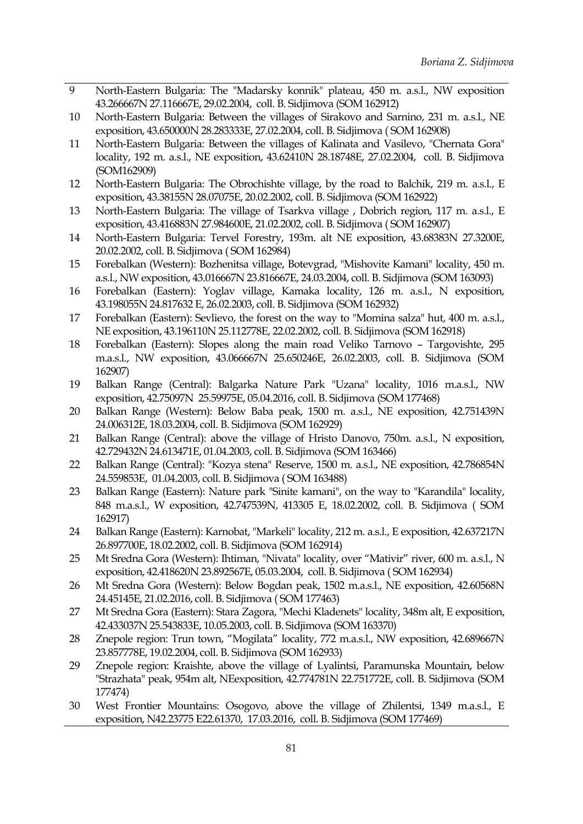- 9 North-Eastern Bulgaria: The "Madarsky konnik" plateau, 450 m. a.s.l., NW exposition 43.266667N 27.116667E, 29.02.2004, coll. B. Sidjimova (SOM 162912)
- 10 North-Eastern Bulgaria: Between the villages of Sirakovo and Sarnino, 231 m. a.s.l., NE exposition, 43.650000N 28.283333E, 27.02.2004, coll. B. Sidjimova ( SOM 162908)
- 11 North-Eastern Bulgaria: Between the villages of Kalinata and Vasilevo, "Chernata Gora" locality, 192 m. a.s.l., NE exposition, 43.62410N 28.18748E, 27.02.2004, coll. B. Sidjimova (SOM162909)
- 12 North-Eastern Bulgaria: The Obrochishte village, by the road to Balchik, 219 m. a.s.l., E exposition, 43.38155N 28.07075E, 20.02.2002, coll.B. Sidjimova (SOM 162922)
- 13 North-Eastern Bulgaria: The village of Tsarkva village , Dobrich region, 117 m. a.s.l., E exposition, 43.416883N 27.984600E, 21.02.2002, coll. B. Sidjimova ( SOM 162907)
- 14 North-Eastern Bulgaria: Tervel Forestry, 193m. alt NE exposition, 43.68383N 27.3200E, 20.02.2002, coll. B. Sidjimova ( SOM 162984)
- 15 Forebalkan (Western): Bozhenitsa village, Botevgrad, "Mishovite Kamani" locality, 450 m. a.s.l., NW exposition, 43.016667N 23.816667E, 24.03.2004, coll. B. Sidjimova (SOM 163093)
- 16 Forebalkan (Eastern): Yoglav village, Kamaka locality, 126 m. a.s.l., N exposition, 43.198055N 24.817632 E, 26.02.2003, coll. B. Sidjimova (SOM 162932)
- 17 Forebalkan (Eastern): Sevlievo, the forest on the way to "Momina salza" hut, 400 m. a.s.l., NE exposition, 43.196110N 25.112778E, 22.02.2002, coll. B. Sidjimova (SOM 162918)
- 18 Forebalkan (Eastern): Slopes along the main road Veliko Tarnovo Targovishte, 295 m.a.s.l., NW exposition, 43.066667N 25.650246E, 26.02.2003, coll. B. Sidjimova (SOM 162907)
- 19 Balkan Range (Central): Balgarka Nature Park "Uzana" locality, 1016 m.a.s.l., NW exposition, 42.75097N 25.59975E, 05.04.2016, coll. B. Sidjimova (SOM 177468)
- 20 Balkan Range (Western): Below Baba peak, 1500 m. a.s.l., NE exposition, 42.751439N 24.006312E, 18.03.2004, coll. B. Sidjimova (SOM 162929)
- 21 Balkan Range (Central): above the village of Hristo Danovo, 750m. a.s.l., N exposition, 42.729432N 24.613471E, 01.04.2003, coll. B. Sidjimova (SOM 163466)
- 22 Balkan Range (Central): "Kozya stena" Reserve, 1500 m. a.s.l., NE exposition, 42.786854N 24.559853E, 01.04.2003, coll. B. Sidjimova ( SOM 163488)
- 23 Balkan Range (Eastern): Nature park "Sinite kamani", on the way to "Karandila" locality, 848 m.a.s.l., W exposition, 42.747539N, 413305 E, 18.02.2002, coll. B. Sidjimova ( SOM 162917)
- 24 Balkan Range (Eastern): Karnobat, "Markeli" locality, 212 m. a.s.l., E exposition, 42.637217N 26.897700E, 18.02.2002, coll. B. Sidjimova (SOM 162914)
- 25 Mt Sredna Gora (Western): Ihtiman, "Nivata" locality, over "Mativir" river, 600 m. a.s.l., N exposition, 42.418620N 23.892567E, 05.03.2004, coll. B. Sidjimova ( SOM 162934)
- 26 Mt Sredna Gora (Western): Below Bogdan peak, 1502 m.a.s.l., NE exposition, 42.60568N 24.45145E, 21.02.2016, coll. B. Sidjimova ( SOM 177463)
- 27 Mt Sredna Gora (Eastern): Stara Zagora, "Mechi Kladenets" locality, 348m alt, E exposition, 42.433037N 25.543833E, 10.05.2003, coll. B. Sidjimova (SOM 163370)
- 28 Znepole region: Trun town, "Mogilata" locality, 772 m.a.s.l., NW exposition, 42.689667N 23.857778E, 19.02.2004, coll. B. Sidjimova (SOM 162933)
- 29 Znepole region: Kraishte, above the village of Lyalintsi, Paramunska Mountain, below "Strazhata" peak, 954m alt, NEexposition, 42.774781N 22.751772E, coll. B. Sidjimova (SOM 177474)
- 30 West Frontier Mountains: Osogovo, above the village of Zhilentsi, 1349 m.a.s.l., E exposition, N42.23775 E22.61370, 17.03.2016, coll. B. Sidjimova (SOM 177469)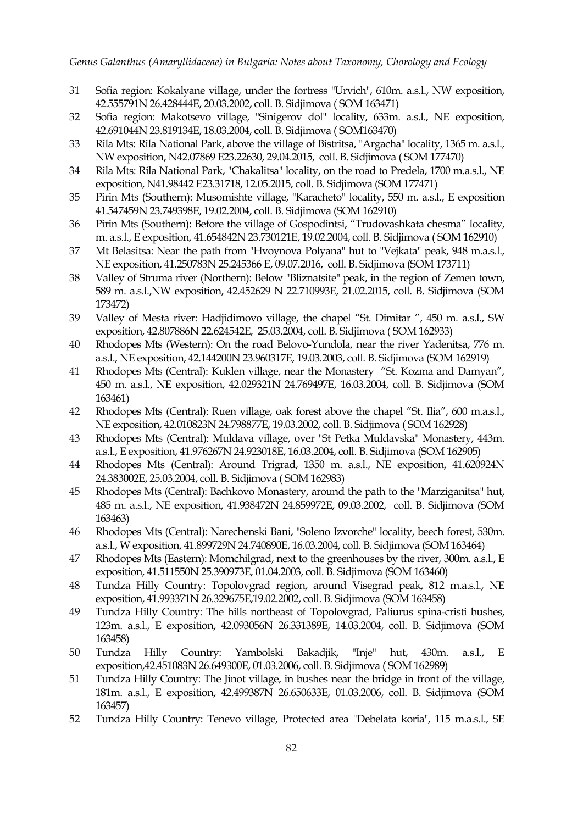- 31 Sofia region: Kokalyane village, under the fortress "Urvich", 610m. a.s.l., NW exposition, 42.555791N 26.428444E, 20.03.2002, coll. B. Sidjimova ( SOM 163471)
- 32 Sofia region: Makotsevo village, "Sinigerov dol" locality, 633m. a.s.l., NE exposition, 42.691044N 23.819134E, 18.03.2004, coll. B. Sidjimova ( SOM163470)
- 33 Rila Mts: Rila National Park, above the village of Bistritsa, "Argacha" locality, 1365 m. a.s.l., NW exposition, N42.07869 E23.22630, 29.04.2015, coll. B. Sidjimova ( SOM 177470)
- 34 Rila Mts: Rila National Park, "Chakalitsa" locality, on the road to Predela, 1700 m.a.s.l., NE exposition, N41.98442 E23.31718, 12.05.2015, coll. B. Sidjimova (SOM 177471)
- 35 Pirin Mts (Southern): Musomishte village, "Karacheto" locality, 550 m. a.s.l., E exposition 41.547459N 23.749398E, 19.02.2004, coll. B. Sidjimova (SOM 162910)
- 36 Pirin Mts (Southern): Before the village of Gospodintsi, "Trudovashkata chesma" locality, m. a.s.l., E exposition, 41.654842N 23.730121E, 19.02.2004, coll. B. Sidjimova ( SOM 162910)
- 37 Mt Belasitsa: Near the path from "Hvoynova Polyana" hut to "Vejkata" peak, 948 m.a.s.l., NE exposition, 41.250783N 25.245366 E, 09.07.2016, coll. B. Sidjimova (SOM 173711)
- 38 Valley of Struma river (Northern): Below "Bliznatsite" peak, in the region of Zemen town, 589 m. a.s.l.,NW exposition, 42.452629 N 22.710993E, 21.02.2015, coll. B. Sidjimova (SOM 173472)
- 39 Valley of Mesta river: Hadjidimovo village, the chapel "St. Dimitar ", 450 m. a.s.l., SW exposition, 42.807886N 22.624542E, 25.03.2004, coll. B. Sidjimova ( SOM 162933)
- 40 Rhodopes Mts (Western): On the road Belovo-Yundola, near the river Yadenitsa, 776 m. a.s.l., NE exposition, 42.144200N 23.960317E, 19.03.2003, coll. B. Sidjimova (SOM 162919)
- 41 Rhodopes Mts (Central): Kuklen village, near the Monastery "St. Kozma and Damyan", 450 m. a.s.l., NE exposition, 42.029321N 24.769497E, 16.03.2004, coll. B. Sidjimova (SOM 163461)
- 42 Rhodopes Mts (Central): Ruen village, oak forest above the chapel "St. Ilia", 600 m.a.s.l., NE exposition, 42.010823N 24.798877E, 19.03.2002, coll. B. Sidjimova ( SOM 162928)
- 43 Rhodopes Mts (Central): Muldava village, over "St Petka Muldavska" Monastery, 443m. a.s.l., E exposition, 41.976267N 24.923018E, 16.03.2004, coll. B. Sidjimova (SOM 162905)
- 44 Rhodopes Mts (Central): Around Trigrad, 1350 m. a.s.l., NE exposition, 41.620924N 24.383002E, 25.03.2004, coll. B. Sidjimova ( SOM 162983)
- 45 Rhodopes Mts (Central): Bachkovo Monastery, around the path to the "Marziganitsa" hut, 485 m. a.s.l., NE exposition, 41.938472N 24.859972E, 09.03.2002, coll. B. Sidjimova (SOM 163463)
- 46 Rhodopes Mts (Central): Narechenski Bani, "Soleno Izvorche" locality, beech forest, 530m. a.s.l., W exposition, 41.899729N 24.740890E, 16.03.2004, coll. B. Sidjimova (SOM 163464)
- 47 Rhodopes Mts (Eastern): Momchilgrad, next to the greenhouses by the river, 300m. a.s.l., E exposition, 41.511550N 25.390973E, 01.04.2003, coll. B. Sidjimova (SOM 163460)
- 48 Tundza Hilly Country: Topolovgrad region, around Visegrad peak, 812 m.a.s.l., NE exposition, 41.993371N 26.329675E,19.02.2002, coll. B. Sidjimova (SOM 163458)
- 49 Tundza Hilly Country: The hills northeast of Topolovgrad, Paliurus spina-cristi bushes, 123m. a.s.l., E exposition, 42.093056N 26.331389E, 14.03.2004, coll. B. Sidjimova (SOM 163458)
- 50 Tundza Hilly Country: Yambolski Bakadjik, "Inje" hut, 430m. a.s.l., Е exposition,42.451083N 26.649300E, 01.03.2006, coll. B. Sidjimova ( SOM 162989)
- 51 Tundza Hilly Country: The Jinot village, in bushes near the bridge in front of the village, 181m. a.s.l., Е exposition, 42.499387N 26.650633E, 01.03.2006, coll. B. Sidjimova (SOM 163457)
- 52 Tundza Hilly Country: Tenevo village, Protected area "Debelata koria", 115 m.a.s.l., SE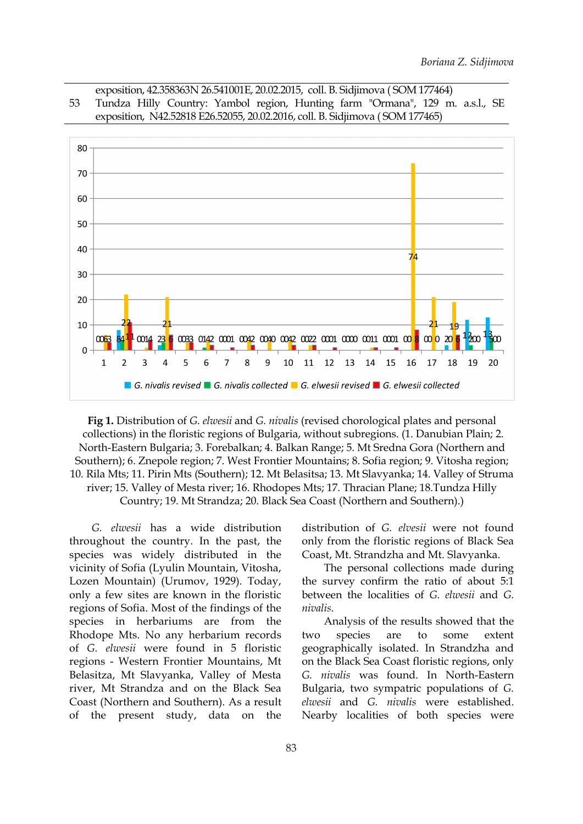exposition, 42.358363N 26.541001E, 20.02.2015, coll. B. Sidjimova ( SOM 177464) 53 Tundza Hilly Country: Yambol region, Hunting farm "Ormana", 129 m. a.s.l., SE exposition, N42.52818 E26.52055, 20.02.2016, coll. B. Sidjimova ( SOM 177465)



**Fig 1.** Distribution of *G. elwesii* and *G. nivalis*(revised chorological plates and personal collections) in the floristic regions of Bulgaria, without subregions. (1. Danubian Plain; 2. North-Eastern Bulgaria; 3. Forebalkan; 4. Balkan Range; 5. Mt Sredna Gora (Northern and Southern); 6. Znepole region; 7.West Frontier Mountains; 8. Sofia region; 9. Vitosha region; 10. Rila Mts; 11. Pirin Mts (Southern); 12. Mt Belasitsa; 13. Mt Slavyanka; 14. Valley of Struma river; 15. Valley of Mesta river; 16. Rhodopes Mts; 17. Thracian Plane; 18.Tundza Hilly Country; 19. Mt Strandza; 20. Black Sea Coast (Northern and Southern).)

*G. elwesii* has a wide distribution throughout the country. In the past, the species was widely distributed in the vicinity of Sofia (Lyulin Mountain, Vitosha, Lozen Mountain) (Urumov, 1929). Today, only a few sites are known in the floristic regions of Sofia. Most of the findings of the species in herbariums are from the Rhodope Mts. No any herbarium records two species are to of *G. elwesii* were found in 5 floristic regions - Western Frontier Mountains, Mt Belasitza, Mt Slavyanka, Valley of Mesta river, Mt Strandza and on the Black Sea Coast (Northern and Southern). As a result of the present study, data on the

distribution of *G. elvesii* were not found only from the floristic regions of Black Sea Coast, Mt. Strandzha and Mt. Slavyanka.

The personal collections made during the survey confirm the ratio of about 5:1 between the localities of *G. elwesii* and *G. nivalis*.

Analysis of the results showed that the species are to some extent geographically isolated. In Strandzha and on the Black Sea Coast floristic regions, only *G. nivalis* was found. In North-Eastern Bulgaria, two sympatric populations of *G. elwesii* and *G. nivalis* were established. Nearby localities of both species were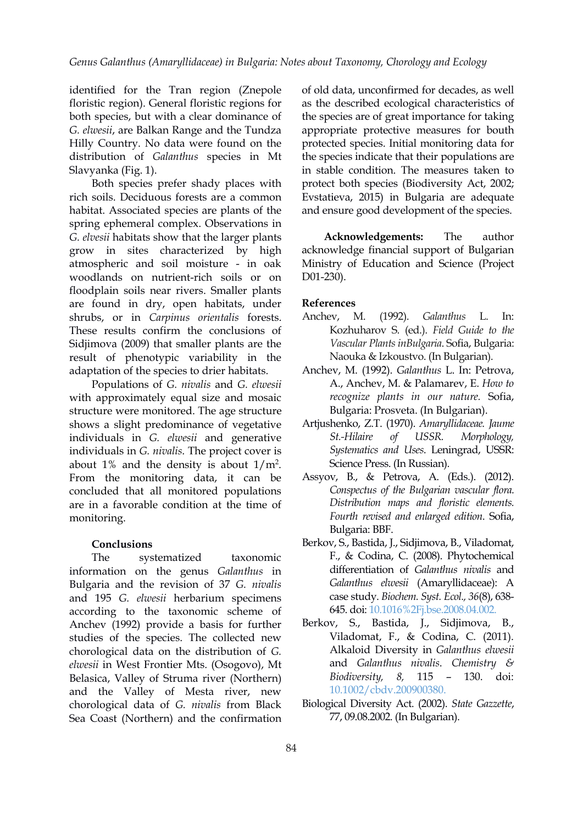identified for the Tran region (Znepole floristic region). General floristic regions for both species, but with a clear dominance of *G. elwesii*, are Balkan Range and the Tundza Hilly Country. No data were found on the distribution of *Galanthus* species in Mt Slavyanka (Fig. 1).

Both species prefer shady places with rich soils. Deciduous forests are a common habitat. Associated species are plants of the spring ephemeral complex. Observations in *G. elvesii* habitats show that the larger plants grow in sites characterized by high atmospheric and soil moisture - in oak woodlands on nutrient-rich soils or on floodplain soils near rivers. Smaller plants are found in dry, open habitats, under shrubs, or in *Carpinus orientalis* forests. These results confirm the conclusions of Sidjimova (2009) that smaller plants are the result of phenotypic variability in the adaptation of the species to drier habitats.

Populations of *G. nivalis* and *G. elwesii* with approximately equal size and mosaic structure were monitored. The age structure shows a slight predominance of vegetative individuals in *G. elwesii* and generative individuals in *G. nivalis*. The project cover is about 1% and the density is about  $1/m^2$ . From the monitoring data, it can be concluded that all monitored populations are in a favorable condition at the time of monitoring.

#### **Conclusions**

The systematized taxonomic information on the genus *Galanthus* in Bulgaria and the revision of 37 *G. nivalis* and 195 *G. elwesii* herbarium specimens according to the taxonomic scheme of Anchev (1992) provide a basis for further studies of the species. The collected new chorological data on the distribution of *G. elwesii* in West Frontier Mts. (Osogovo), Mt Belasica, Valley of Struma river (Northern) and the Valley of Mesta river, new chorological data of *G. nivalis* from Black Sea Coast (Northern) and the confirmation

of old data, unconfirmed for decades, as well as the described ecological characteristics of the species are of great importance for taking appropriate protective measures for bouth protected species. Initial monitoring data for the species indicate that their populations are in stable condition. The measures taken to protect both species (Biodiversity Act, 2002; Evstatieva, 2015) in Bulgaria are adequate and ensure good development of the species.

**Acknowledgements:** The author acknowledge financial support of Bulgarian Ministry of Education and Science (Project D01-230).

#### **References**

- Anchev, M. (1992). *Galanthus* L. In: Kozhuharov S. (ed.). *Field Guide to the Vascular Plants inBulgaria*. Sofia, Bulgaria: Naouka & Izkoustvo. (In Bulgarian).
- Anchev, M. (1992). *Galanthus* L. In: Petrova, A., Anchev, M. & Palamarev, E. *How to recognize plants in our nature.* Sofia, Bulgaria: Prosveta. (In Bulgarian).
- . Artjushenko, Z.T. (1970). *Amaryllidaceae. Jaume St.-Hilaire of USSR. Morphology, Systematics and Uses*. Leningrad, USSR: Science Press. (In Russian).
	- Assyov, B., & Petrova, A. (Eds.). (2012). *Conspectus of the Bulgarian vascular flora. Distribution maps and floristic elements. Fourth revised and enlarged edition*. Sofia, Bulgaria: BBF.
	- Berkov, S., Bastida, J., Sidjimova, B., Viladomat, F., & Codina, C. (2008). Phytochemical differentiation of *Galanthus nivalis* and *Galanthus elwesii* (Amaryllidaceae): A case study. *Biochem. Syst. Ecol., 36*(8), 638- 645. doi: [10.1016%2Fj.bse.2008.04.002.](http://dx.doi.org/10.1016%2Fj.bse.2008.04.002)
	- Berkov, S., Bastida, J., Sidjimova, B., Viladomat, F., & Codina, C. (2011). Alkaloid Diversity in *Galanthus elwesii* and *Galanthus nivalis*. *Chemistry & Biodiversity, 8,* 115 – 130. doi: [10.1002/cbdv.200900380](https://doi.org/10.1002/cbdv.200900380).
	- Biological Diversity Act. (2002). *State Gazzette*, 77, 09.08.2002. (In Bulgarian).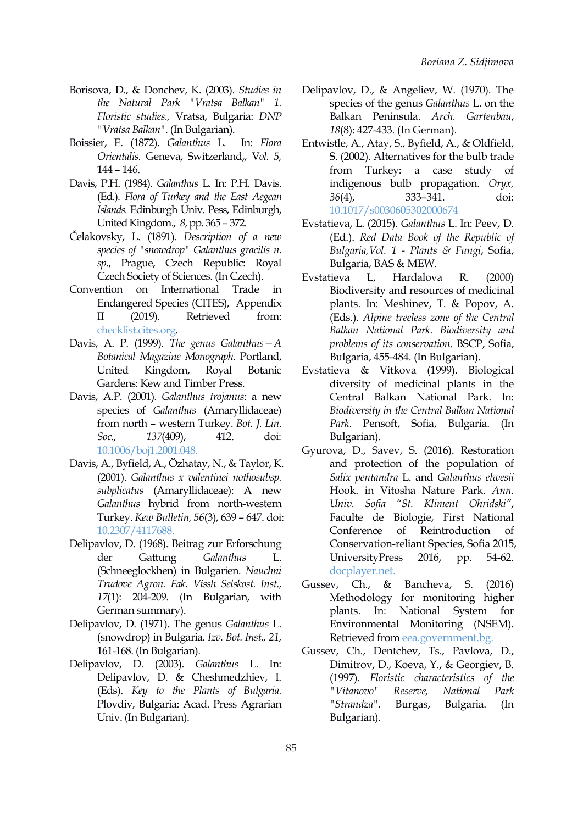- Borisova, D., & Donchev, K. (2003). *Studies in the Natural Park "Vratsa Balkan" 1. Floristic studies.,* Vratsa, Bulgaria: *DNP "Vratsa Balkan"*. (In Bulgarian).
- Boissier, E. (1872). *Galanthus* L. In: *Flora Orientalis.* Geneva, Switzerland,, V*ol. 5,* 144 – 146.
- Davis, P.H. (1984). *Galanthus* L. In: P.H. Davis. (Ed.). *Flora of Turkey and the East Aegean Islands.* Edinburgh Univ. Pess, Edinburgh, United Kingdom., *8*, pp. 365 – 372.
- Čelakovsky, L. (1891). *Description of a new species of "snowdrop" Galanthus gracilis n. sp*., Prague, Czech Republic: Royal Czech Society of Sciences. (In Czech).
- Convention on International Trade in Endangered Species (CITES), Appendix II (2019). Retrieved from: [checklist.cites.org](https://checklist.cites.org/#/en/search/output_layout=alphabetical&amp;level_of_listing=0&amp;show_synonyms=1&amp;show_author=1&amp;show_english=1&amp;show_spanish=1&amp;show_french=1&amp;scientific_name=Galanthus&amp;page=1&amp;per_page=20).
- Davis, A. P. (1999). *The genus Galanthus—A Botanical Magazine Monograph*. Portland, Gardens: Kew and Timber Press.
- Davis, A.P. (2001). *Galanthus trojanus*: a new species of *Galanthus* (Amaryllidaceae) from north – western Turkey. *Bot. J. Lin. Soc., 137*(409), 412. doi: [10.1006/boj1.2001.048](https://doi.org/10.1006/boj1.2001.048).
- Davis, A., Byfield, A., Özhatay, N., & Taylor, K. (2001). *Galanthus x valentinei nothosubsp. subplicatus* (Amaryllidaceae): A new *Galanthus* hybrid from north-western Turkey. *Kew Bulletin, 56*(3), 639 – 647. doi: [10.2307/4117688.](https://doi.org/10.2307/4117688)
- Delipavlov, D. (1968). Beitrag zur Erforschung der Gattung *Galanthus* L. (Schneeglockhen) in Bulgarien. *Nauchni Trudove Agron. Fak. Vissh Selskost. Inst., 17*(1): 204-209. (In Bulgarian, with German summary).
- Delipavlov, D. (1971). The genus *Galanthus* L. (snowdrop) in Bulgaria. *Izv. Bot. Inst., 21,* 161-168. (In Bulgarian).
- Delipavlov, D. (2003). *Galanthus* L. In: Delipavlov, D. & Cheshmedzhiev, I. (Eds). *Key to the Plants of Bulgaria.* Plovdiv, Bulgaria: Acad. Press Agrarian "Strandza". Burgas, Univ. (In Bulgarian).
- Delipavlov, D., & Angeliev, W. (1970). The species of the genus *Galanthus* L. on the Balkan Peninsula. *Arch. Gartenbau*, *18*(8): 427-433. (In German).
- Entwistle, A., Atay, S., Byfield, A., & Oldfield, S. (2002). Alternatives for the bulb trade from Turkey: a case study of indigenous bulb propagation. *Oryx, 36*(4), 333–341. doi: [10.1017/s0030605302000674](https://doi.org/10.1017/s0030605302000674)
- Evstatieva, L. (2015). *Galanthus* L. In: Peev, D. (Ed.). *Red Data Book of the Republic of Bulgaria,Vol. 1 - Plants & Fungi*, Sofia, Bulgaria, BAS & MEW.
- L, Hardalova R.  $(2000)$ Biodiversity and resources of medicinal plants. In: Meshinev, Т. & Popov, А. (Eds.). *Alpine treeless zone of the Central Balkan National Park. Biodiversity and problems of its conservation*. BSCP, Sofia, Bulgaria, 455-484. (In Bulgarian).
- United Kingdom, Royal Botanic Evstatieva & Vitkova (1999). Biological diversity of medicinal plants in the Central Balkan National Park. In: *Biodiversity in the Central Balkan National Park*. Pensoft, Sofia, Bulgaria. (In Bulgarian).
	- Gyurova, D., Savev, S. (2016). Restoration and protection of the population of *Salix pentandra* L. and *Galanthus elwesii* Hook. in Vitosha Nature Park. *Ann. Univ. Sofia "St. Kliment Ohridski"*, Faculte de Biologie, First National Conference of Reintroduction of Conservation-reliant Species, Sofia 2015, UniversityPress 2016, pp. 54-62. [docplayer.net](http://docplayer.net/60626899-G-o-d-i-sh-n-i-k-prva-nacionalna-konferenciya-po-reintrodukciya-na-konservacionno-znachimi-vidove-sofiya-2015-a-n-n-u-a-i-r-e.html).
	- Gussev, Ch., & Bancheva, S. (2016) Мethodology for monitoring higher plants. In: National System for Environmental Monitoring (NSEM). Retrieved from [eea.government.bg](http://eea.government.bg/bg/bio/nsmbr/praktichesko-rakovodstvo-metodiki-za-monitoring-i-otsenka/visshi-rasteniya.).
	- Gussev, Ch., Dentchev, Ts., Pavlova, D., Dimitrov, D., Koeva, Y., & Georgiev, B. (1997). *Floristic characteristics of the "Vitanovo" Reserve, National Park "Strandza".* Burgas, Bulgaria. (In Bulgarian).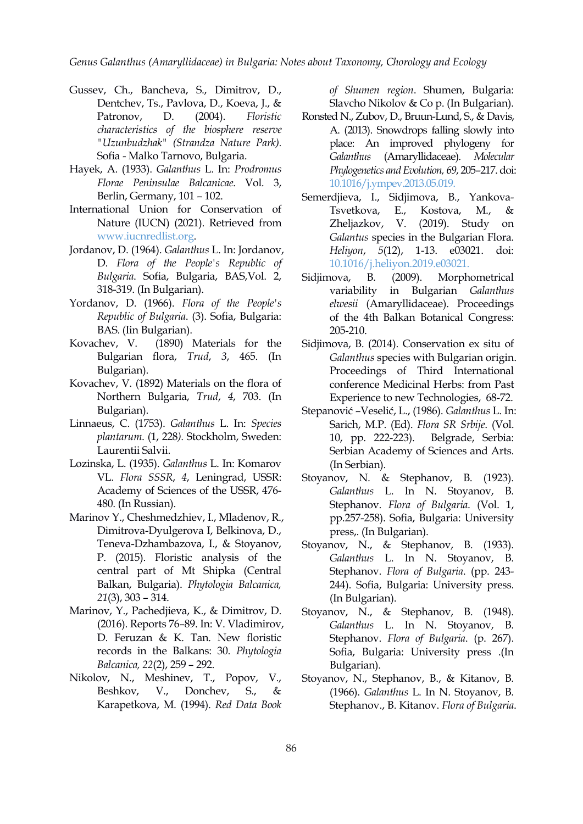*Genus Galanthus (Amaryllidaceae) in Bulgaria: Notes about Taxonomy, Chorology and Ecology*

- Gussev, Ch., Bancheva, S., Dimitrov, D., Dentchev, Ts., Pavlova, D., Koeva, J., & *characteristics of the biosphere reserve "Uzunbudzhak" (Strandza Nature Park).* Sofia - Malko Tarnovo, Bulgaria.
- Hayek, A. (1933). *Galanthus* L. In: *Prodromus Florae Peninsulae Balcanicae.* Vol. 3, Berlin, Germany, 101 – 102.
- International Union for Conservation of [www.iucnredlist.org.](https://www.iucnredlist.org/)
- Jordanov, D. (1964). *Galanthus* L. In: Jordanov, D. *Flora of the People's Republic of Bulgaria*. Sofia, Bulgaria, BAS,Vol. 2, 318-319. (In Bulgarian).
- Yordanov, D. (1966). *Flora of the People's Republic of Bulgaria*. (3). Sofia, Bulgaria: BAS. (Iin Bulgarian).
- Kovachev, V. (1890) Materials for the Bulgarian flora, *Trud*,*3*, 465. (In Bulgarian).
- Kovachev, V. (1892) Materials on the flora of Northern Bulgaria, *Trud*, *4*, 703. (In Bulgarian).
- Linnaeus, C. (1753). *Galanthus* L. In: *Species plantarum*. (1, 228*).* Stockholm, Sweden: Laurentii Salvii.
- Lozinska, L. (1935). *Galanthus* L. In: Komarov VL. *Flora SSSR*, *4*, Leningrad, USSR: Academy of Sciences of the USSR, 476- 480. (In Russian).
- Marinov Y., Cheshmedzhiev, I., Mladenov, R., Dimitrova-Dyulgerova I, Belkinova, D., Teneva-Dzhambazova, I., & Stoyanov, P. (2015). Floristic analysis of the central part of Mt Shipka (Central Balkan, Bulgaria). *Phytologia Balcanica, 21*(3), 303 – 314.
- Marinov, Y., Pachedjieva, K., & Dimitrov, D. (2016). Reports 76–89. In: V. Vladimirov, D. Feruzan & K. Tan. New floristic records in the Balkans: 30. *Phytologia Balcanica, 22*(2), 259 – 292.
- Nikolov, N., Meshinev, T., Popov, V., Karapetkova, M. (1994). *Red Data Book*

*of Shumen region*. Shumen, Bulgaria: Slavcho Nikolov & Co p. (In Bulgarian).

- Patronov, D. (2004). *Floristic* Ronsted N., Zubov, D., Bruun-Lund, S., & Davis, A. (2013). Snowdrops falling slowly into place: An improved phylogeny for *Galanthus* (Amaryllidaceae). *Molecular Phylogenetics and Evolution, 69*, 205–217. doi: [10.1016/j.ympev.2013.05.019.](https://doi.org/10.1016/j.ympev.2013.05.019)
- Nature (IUCN) (2021). Retrieved from Zheljazkov, V. (2019). Study Semerdjieva, I., Sidjimova, B., Yankova- Tsvetkova, E., Kostova, M., & Zheljazkov, V. (2019). Study on *Galantus* species in the Bulgarian Flora. *Heliyon*, *5*(12), 1-13. e03021. doi: [10.1016/j.heliyon.2019.e03021.](https://doi.org/10.1016/j.heliyon.2019.e03021)
	- B. (2009). Morphometrical variability in Bulgarian *Galanthus elwesii* (Amaryllidaceae). Proceedings of the 4th Balkan Botanical Congress: 205-210.
	- Sidjimova, B. (2014). Conservation ex situ of *Galanthus* species with Bulgarian origin. Proceedings of Third International conference Medicinal Herbs: from Past Experience to new Technologies, 68-72.
	- Stepanović –Veselić, L., (1986). *Galanthus* L. In: Sarich, M.P. (Ed). *Flora SR Srbije*. (Vol. Belgrade, Serbia: Serbian Academy of Sciences and Arts. (In Serbian).
	- Stoyanov, N. & Stephanov, B. (1923). *Galanthus* L. In N. Stoyanov, B. Stephanov. *Flora of Bulgaria*. (Vol. 1, pp.257-258). Sofia, Bulgaria: University prеss,. (In Bulgarian).
	- Stoyanov, N., & Stephanov, B. (1933). *Galanthus* L. In N. Stoyanov, B. Stephanov. *Flora of Bulgaria*. (pp. 243- 244). Sofia, Bulgaria: University prеss. (In Bulgarian).
	- Stoyanov, N., & Stephanov, B. (1948). *Galanthus* L. In N. Stoyanov, B. Stephanov. *Flora of Bulgaria*. (p. 267). Sofia, Bulgaria: University prеss .(In Bulgarian).
- Beshkov, V., Donchev, S., & (1966). *Galanthus* L. In N. Stoyanov, B. Stoyanov, N., Stephanov, B., & Kitanov, B. Stephanov., B. Kitanov. *Flora of Bulgaria*.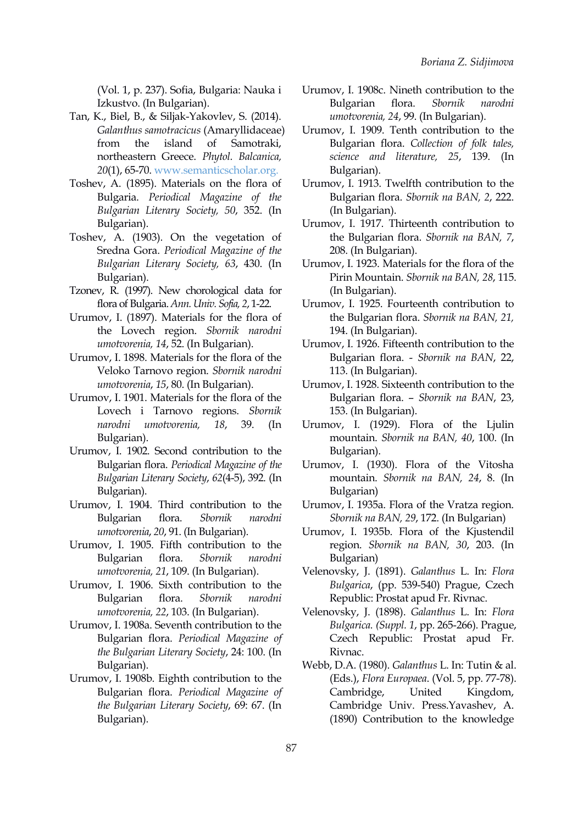(Vol. 1, p. 237). Sofia, Bulgaria: Nauka i Izkustvo. (In Bulgarian).

- Tan, K., Biel, B., & Siljak-Yakovlev, S. (2014). *Galanthus samotracicus* (Amaryllidaceae) from the island of Samotraki, northeastern Greece. *Phytol. Balcanica, 20*(1), 65-70. [www.semanticscholar.org.](https://www.semanticscholar.org/paper/Galanthus-samothracicus-(Amaryllidaceae)-from-the-Tan-Biel/afc56db3454d8cd0f83b1f19e4ca8e844c951f64)
- Toshev, A. (1895). Materials on the flora of Bulgaria. *Periodical Magazine of the Bulgarian Literary Society, 50*, 352. (In Bulgarian).
- Toshev, A. (1903). On the vegetation of Sredna Gora. *Periodical Magazine of the Bulgarian Literary Society, 63*, 430. (In Bulgarian).
- Tzonev, R. (1997). New chorological data for flora of Bulgaria.*Ann. Univ. Sofia, 2*, 1-22.
- Urumov, I. (1897). Materials for the flora of the Lovech region. *Sbornik narodni umotvorenia, 14*, 52. (In Bulgarian).
- Urumov, I. 1898. Materials for the flora of the Veloko Tarnovo region. *Sbornik narodni umotvorenia*, *15*, 80. (In Bulgarian).
- Urumov, I. 1901. Materials for the flora of the Lovech i Tarnovo regions. *Sbornik* Bulgarian).
- Urumov, I. 1902. Second contribution to the Bulgarian flora. *Periodical Magazine of the Bulgarian Literary Society*, *62*(4-5), 392. (In Bulgarian).
- Urumov, I. 1904. Third contribution to the Bulgarian flora. *Sbornik narodni umotvorenia*, *20*, 91. (In Bulgarian).
- Urumov, I. 1905. Fifth contribution to the Bulgarian flora. *Sbornik narodni umotvorenia, 21*, 109. (In Bulgarian).
- Urumov, I. 1906. Sixth contribution to the Bulgarian flora. *Sbornik narodni umotvorenia, 22*, 103. (In Bulgarian).
- Urumov, I. 1908a. Seventh contribution to the Bulgarian flora. *Periodical Magazine of the Bulgarian Literary Society*, 24:100. (In Bulgarian).
- Urumov, I. 1908b. Eighth contribution to the Bulgarian flora. *Periodical Magazine of the Bulgarian Literary Society*, 69: 67. (In Bulgarian).
- Urumov, I. 1908с. Nineth contribution to the Bulgarian flora. *Sbornik narodni umotvorenia, 24*, 99. (In Bulgarian).
- Urumov, I. 1909. Tenth contribution to the Bulgarian flora. *Collection of folk tales, science and literature, 25*, 139. (In Bulgarian).
- Urumov, I. 1913. Тwelfth contribution to the Bulgarian flora. *Sbornik na BAN, 2*,222. (In Bulgarian).
- Urumov, I. 1917. Тhirteenth contribution to the Bulgarian flora. *Sbornik na BAN, 7*, 208. (In Bulgarian).
- Urumov, I. 1923. Materials for the flora of the Pirin Mountain. *Sbornik na BAN, 28*, 115. (In Bulgarian).
- Urumov, I. 1925. Fourteenth contribution to the Bulgarian flora. *Sbornik na BAN, 21,* 194. (In Bulgarian).
- Urumov, I. 1926. Fifteenth contribution to the Bulgarian flora. - *Sbornik na BAN*, 22, 113. (In Bulgarian).
- Urumov, I. 1928. Sixteenth contribution to the Bulgarian flora. – *Sbornik na BAN*, 23, 153. (In Bulgarian).
- *narodni umotvorenia, 18*, 39. (In Urumov, I. (1929). Flora of the Ljulin mountain. *Sbornik na BAN, 40*, 100. (In Bulgarian).
	- Urumov, I. (1930). Flora of the Vitosha mountain. *Sbornik na BAN, 24*, 8. (In Bulgarian)
	- Urumov, I. 1935a. Flora of the Vratza region. *Sbornik na BAN, 29*, 172. (In Bulgarian)
	- Urumov, I. 1935b. Flora of the Kjustendil region. *Sbornik na BAN, 30*, 203. (In Bulgarian)
	- Velenovsky, J. (1891). *Galanthus* L. In: *Flora Bulgarica*, (pp. 539-540) Prague, Czech Republic: Prostat apud Fr. Rivnac.
	- Velenovsky, J. (1898). *Galanthus* L. In: *Flora Bulgarica. (Supрl. 1*, pp. 265-266). Prague, Czech Republic: Prostat apud Fr. Rivnac.
	- Webb, D.A. (1980). *Galanthus* L. In: Tutin & al. (Еds.), *Flora Europaea*. (Vol. 5, pp. 77-78). Cambridge, United Kingdom, Cambridge Univ. Press.Yavashev, А. (1890) Contribution to the knowledge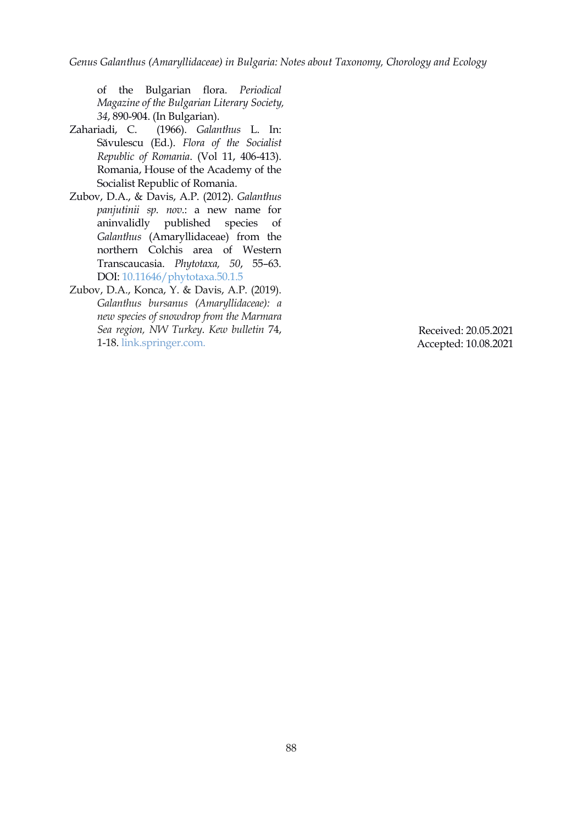*Genus Galanthus (Amaryllidaceae) in Bulgaria: Notes about Taxonomy, Chorology and Ecology*

of the Bulgarian flora. *Periodical Magazine of the Bulgarian Literary Society, 34*, 890-904. (In Bulgarian).

- Zahariadi, C. (1966). *Galanthus* L. In: Săvulescu (Ed.). *Flora of the Socialist Republic of Romania*. (Vol 11, 406-413). Romania, House of the Academy of the Socialist Republic of Romania.
- Zubov, D.A., & Davis, A.P. (2012). *Galanthus panjutinii sp. nov*.: a new name for aninvalidly published species of *Galanthus* (Amaryllidaceae) from the northern Colchis area of Western Transcaucasia. *Phytotaxa, 50*, 55–63. DOI: [10.11646/phytotaxa.50.1.5](https://doi.org/10.11646/phytotaxa.50.1.5)
- Zubov, D.A., Konca, Y. & Davis, A.P. (2019). *Galanthus bursanus (Amaryllidaceae): a new species of snowdrop from the Marmara Sea region, NW Turkey*. *Kew bulletin* 74, 1-18. [link.springer.com](https://link.springer.com/article/10.1007/s12225-019-9806-5). Received: 20.05.2021

Accepted: 10.08.2021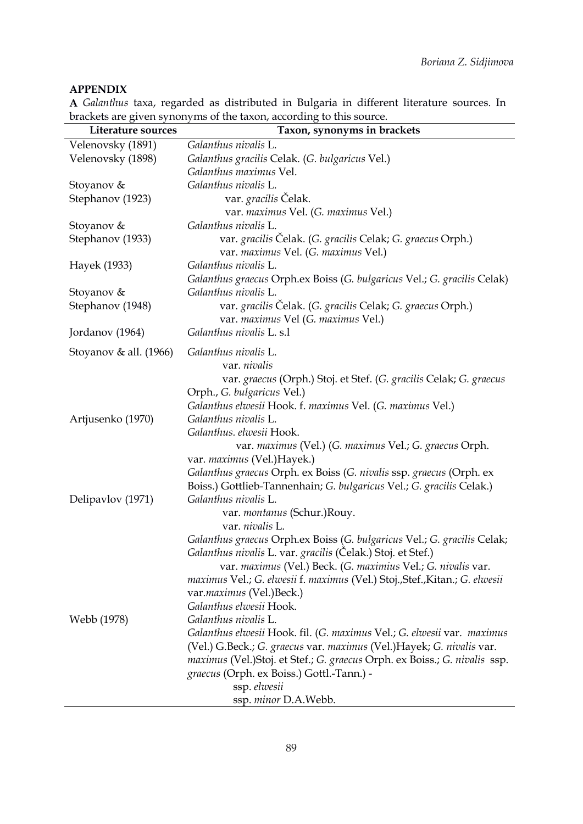# **APPENDIX**

**A** *Galanthus* taxa, regarded as distributed in Bulgaria in different literature sources. In brackets are given synonyms of the taxon, according to this source.

| Literature sources     | Taxon, synonyms in brackets                                                 |
|------------------------|-----------------------------------------------------------------------------|
| Velenovsky (1891)      | Galanthus nivalis L.                                                        |
| Velenovsky (1898)      | Galanthus gracilis Celak. (G. bulgaricus Vel.)                              |
|                        | Galanthus maximus Vel.                                                      |
| Stoyanov &             | Galanthus nivalis L.                                                        |
| Stephanov (1923)       | var. gracilis Čelak.                                                        |
|                        | var. maximus Vel. (G. maximus Vel.)                                         |
| Stoyanov &             | Galanthus nivalis L.                                                        |
| Stephanov (1933)       | var. gracilis Čelak. (G. gracilis Celak; G. graecus Orph.)                  |
|                        | var. maximus Vel. (G. maximus Vel.)                                         |
| Hayek (1933)           | Galanthus nivalis L.                                                        |
|                        | Galanthus graecus Orph.ex Boiss (G. bulgaricus Vel.; G. gracilis Celak)     |
| Stoyanov &             | Galanthus nivalis L.                                                        |
| Stephanov (1948)       | var. gracilis Čelak. (G. gracilis Celak; G. graecus Orph.)                  |
|                        | var. maximus Vel (G. maximus Vel.)                                          |
| Jordanov (1964)        | Galanthus nivalis L. s.1                                                    |
| Stoyanov & all. (1966) | Galanthus nivalis L.                                                        |
|                        | var. nivalis                                                                |
|                        | var. graecus (Orph.) Stoj. et Stef. (G. gracilis Celak; G. graecus          |
|                        | Orph., G. bulgaricus Vel.)                                                  |
|                        | Galanthus elwesii Hook. f. maximus Vel. (G. maximus Vel.)                   |
| Artjusenko (1970)      | Galanthus nivalis L.                                                        |
|                        | Galanthus. elwesii Hook.                                                    |
|                        | var. maximus (Vel.) (G. maximus Vel.; G. graecus Orph.                      |
|                        | var. maximus (Vel.)Hayek.)                                                  |
|                        | Galanthus graecus Orph. ex Boiss (G. nivalis ssp. graecus (Orph. ex         |
|                        | Boiss.) Gottlieb-Tannenhain; G. bulgaricus Vel.; G. gracilis Celak.)        |
| Delipavlov (1971)      | Galanthus nivalis L.                                                        |
|                        | var. montanus (Schur.)Rouy.                                                 |
|                        | var. nivalis L.                                                             |
|                        | Galanthus graecus Orph.ex Boiss (G. bulgaricus Vel.; G. gracilis Celak;     |
|                        | Galanthus nivalis L. var. gracilis (Čelak.) Stoj. et Stef.)                 |
|                        | var. maximus (Vel.) Beck. (G. maximius Vel.; G. nivalis var.                |
|                        | maximus Vel.; G. elwesii f. maximus (Vel.) Stoj., Stef., Kitan.; G. elwesii |
|                        | var.maximus (Vel.)Beck.)                                                    |
|                        | Galanthus elwesii Hook.                                                     |
| Webb (1978)            | Galanthus nivalis L.                                                        |
|                        | Galanthus elwesii Hook. fil. (G. maximus Vel.; G. elwesii var. maximus      |
|                        | (Vel.) G.Beck.; G. graecus var. maximus (Vel.)Hayek; G. nivalis var.        |
|                        | maximus (Vel.)Stoj. et Stef.; G. graecus Orph. ex Boiss.; G. nivalis ssp.   |
|                        | graecus (Orph. ex Boiss.) Gottl.-Tann.) -                                   |
|                        | ssp. elwesii                                                                |
|                        | ssp. minor D.A.Webb.                                                        |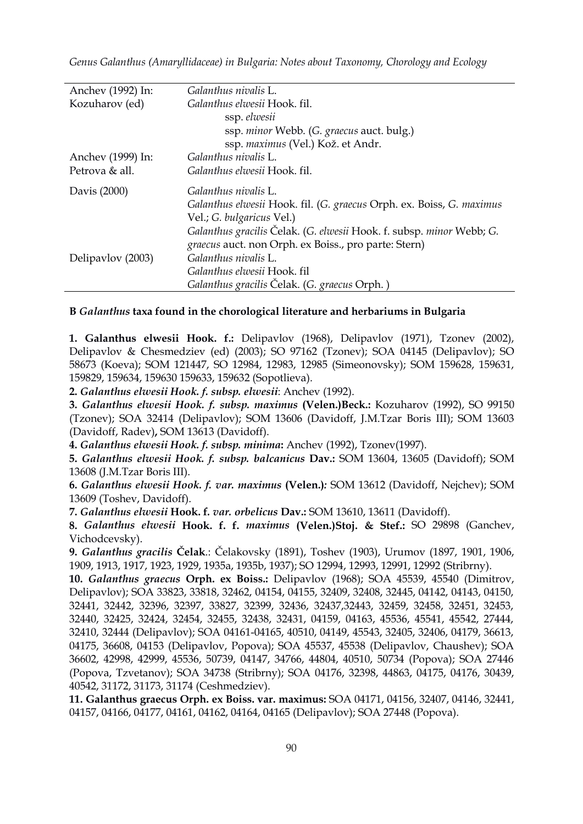| Anchev (1992) In: | Galanthus nivalis L.                                                 |
|-------------------|----------------------------------------------------------------------|
| Kozuharov (ed)    | Galanthus elwesii Hook. fil.                                         |
|                   | ssp. elwesii                                                         |
|                   | ssp. minor Webb. (G. graecus auct. bulg.)                            |
|                   | ssp. maximus (Vel.) Kož. et Andr.                                    |
| Anchev (1999) In: | Galanthus nivalis L.                                                 |
| Petrova & all.    | Galanthus elwesii Hook. fil.                                         |
| Davis (2000)      | Galanthus nivalis L.                                                 |
|                   | Galanthus elwesii Hook. fil. (G. graecus Orph. ex. Boiss, G. maximus |
|                   | Vel.; G. bulgaricus Vel.)                                            |
|                   | Galanthus gracilis Čelak. (G. elwesii Hook. f. subsp. minor Webb; G. |
|                   | graecus auct. non Orph. ex Boiss., pro parte: Stern)                 |
| Delipavlov (2003) | Galanthus nivalis L.                                                 |
|                   | Galanthus elwesii Hook, fil                                          |
|                   | Galanthus gracilis Čelak. (G. graecus Orph.)                         |

# **B** *Galanthus* **taxa found in the chorological literature and herbariums in Bulgaria**

**1. Galanthus elwesii Hook. f.:** Delipavlov (1968), Delipavlov (1971), Tzonev (2002), Delipavlov & Chesmedziev (ed) (2003); SO 97162 (Tzonev); SOA 04145 (Delipavlov); SO 58673 (Koeva); SOM 121447, SO 12984, 12983, 12985 (Simeonovsky); SOM 159628, 159631, 159829, 159634, 159630 159633, 159632 (Sopotlieva).

**2.** *Galanthus elwesii Hook. f. subsp. elwesii*: Anchev (1992).

**3.** *Galanthus elwesii Hook. f. subsp. maximus* **(Velen.)Beck.:** Kozuharov (1992), SO 99150 (Tzonev); SOA 32414 (Delipavlov); SOM 13606 (Davidoff, J.M.Тzar Boris III); SOM 13603 (Davidoff, Radev)**,** SOM 13613 (Davidoff).

**4.** *Galanthus elwesii Hook. f. subsp. minima***:** Anchev (1992), Tzonev(1997).

**5.** *Galanthus elwesii Hook. f. subsp. balcanicus* **Dav.:** SOM 13604, 13605 (Davidoff); SOM 13608 (J.M.Тzar Boris III).

**6.** *Galanthus elwesii Hook. f. var. maximus* **(Velen.)***:* SOM 13612 (Davidoff, Nejchev); SOM 13609 (Toshev, Davidoff).

**7.** *Galanthus elwesii* **Hook. f***. var. orbelicus* **Dav.:** SOM 13610, 13611 (Davidoff).

**8.** *Galanthus elwesii* **Hook. f. f.** *maximus* **(Velen.)Stoj. & Stef.:** SO 29898 (Ganchev, Vichodcevsky).

**9.** *Galanthus gracilis* **Čelak**.: Čelakovsky (1891), Toshev (1903), Urumov (1897, 1901, 1906, 1909, 1913, 1917, 1923, 1929, 1935a, 1935b, 1937); SО 12994, 12993, 12991, 12992 (Stribrny).

**10.** *Galanthus graecus* **Orph. ex Boiss.:** Delipavlov (1968); SOA 45539, 45540 (Dimitrov, Delipavlov); SOA 33823, 33818, 32462, 04154, 04155, 32409, 32408, 32445, 04142, 04143, 04150, 32441, 32442, 32396, 32397, 33827, 32399, 32436, 32437,32443, 32459, 32458, 32451, 32453, 32440, 32425, 32424, 32454, 32455, 32438, 32431, 04159, 04163, 45536, 45541, 45542, 27444, 32410, 32444 (Delipavlov); SOA 04161-04165, 40510, 04149, 45543, 32405, 32406, 04179, 36613, 04175, 36608, 04153 (Delipavlov, Popova); SOA 45537, 45538 (Delipavlov, Chaushev); SOA 36602, 42998, 42999, 45536, 50739, 04147, 34766, 44804, 40510, 50734 (Popova); SOA 27446 (Popova, Tzvetanov); SOA 34738 (Stribrny); SOA 04176, 32398, 44863, 04175, 04176, 30439, 40542, 31172, 31173, 31174 (Ceshmedziev).

**11. Galanthus graecus Orph. ex Boiss. var. maximus:** SOA 04171, 04156, 32407, 04146, 32441, 04157, 04166, 04177, 04161, 04162, 04164, 04165 (Delipavlov); SOA 27448 (Popova).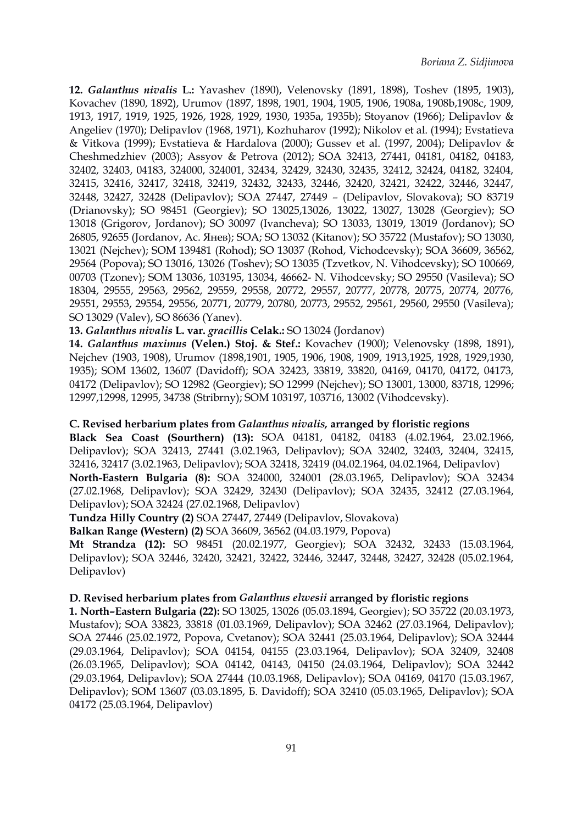**12.** *Galanthus nivalis* **L.:** Yavashev (1890), Velenovsky (1891, 1898), Toshev (1895, 1903), Kovachev (1890, 1892), Urumov (1897, 1898, 1901, 1904, 1905, 1906, 1908a, 1908b,1908c, 1909, 1913, 1917, 1919, 1925, 1926, 1928, 1929, 1930, 1935a, 1935b); Stoyanov (1966); Delipavlov & Angeliev (1970); Delipavlov (1968, 1971), Kozhuharov (1992); Nikolov et al. (1994); Evstatieva & Vitkova (1999); Evstatieva & Hardalova (2000); Gussev et al.(1997, 2004); Delipavlov & Cheshmedzhiev (2003); Assyov & Petrova (2012); SOA 32413, 27441, 04181, 04182, 04183, 32402, 32403, 04183, 324000, 324001, 32434, 32429, 32430, 32435, 32412, 32424, 04182, 32404, 32415, 32416, 32417, 32418, 32419, 32432, 32433, 32446, 32420, 32421, 32422, 32446, 32447, 32448, 32427, 32428 (Delipavlov); SOA 27447, 27449 – (Delipavlov, Slovakova); SO 83719 (Drianovsky); SO 98451 (Georgiev); SO 13025,13026, 13022, 13027, 13028 (Georgiev); SO 13018 (Grigorov, Jordanov); SO 30097 (Ivancheva); SO 13033, 13019, 13019 (Jordanov); SO 26805, 92655 (Jordanov, Ac. Янев); SOA; SO 13032 (Kitanov); SO 35722 (Mustafov); SO 13030, 13021 (Nejchev); SOM 139481 (Rohod); SO 13037 (Rohod, Vichodcevsky); SOA 36609, 36562, 29564 (Popova); SO 13016, 13026 (Toshev); SO 13035 (Tzvetkov, N. Vihodcevsky); SO 100669, 00703 (Tzonev); SOM 13036, 103195, 13034, 46662- N. Vihodcevsky; SO 29550 (Vasileva); SO 18304, 29555, 29563, 29562, 29559, 29558, 20772, 29557, 20777, 20778, 20775, 20774, 20776, 29551, 29553, 29554, 29556, 20771, 20779, 20780, 20773, 29552, 29561, 29560, 29550 (Vasileva); SO 13029 (Valev), SO 86636 (Yanev).

# **13.** *Galanthus nivalis* **L. var.** *gracillis* **Celak.:** SO 13024 (Jordanov)

**14.** *Galanthus maximus* **(Velen.) Stoj. & Stef.:** Kovachev (1900); Velenovsky (1898, 1891), Nejchev (1903, 1908), Urumov (1898,1901, 1905, 1906, 1908, 1909, 1913,1925, 1928, 1929,1930, 1935); SOM 13602, 13607 (Davidoff); SOA 32423, 33819, 33820, 04169, 04170, 04172, 04173, 04172 (Delipavlov); SO 12982 (Georgiev); SO 12999 (Nejchev); SO 13001, 13000, 83718, 12996; 12997,12998, 12995, 34738 (Stribrny);SOM 103197, 103716, 13002 (Vihodcevsky).

#### **C. Revised herbarium plates from** *Galanthus nivalis,* **arranged by floristic regions**

**Black Sea Coast (Sourthern) (13):** SOA 04181, 04182, 04183 (4.02.1964, 23.02.1966, Delipavlov); SOA 32413, 27441 (3.02.1963, Delipavlov); SOA 32402, 32403, 32404, 32415, 32416, 32417 (3.02.1963, Delipavlov); SOA 32418, 32419 (04.02.1964, 04.02.1964, Delipavlov) **North-Eastern Bulgaria (8):** SOA 324000, 324001 (28.03.1965, Delipavlov); SOA 32434 (27.02.1968, Delipavlov); SOA 32429, 32430 (Delipavlov); SOA 32435, 32412 (27.03.1964, Delipavlov); SOA 32424 (27.02.1968, Delipavlov)

**Tundza Hilly Country (2)** SOA 27447, 27449 (Delipavlov, Slovakova)

**Balkan Range (Western) (2)** SOA 36609, 36562 (04.03.1979, Popova)

**Mt Strandza (12):** SO 98451 (20.02.1977, Georgiev); SOA 32432, 32433 (15.03.1964, Delipavlov); SOA 32446, 32420, 32421, 32422, 32446, 32447, 32448, 32427, 32428 (05.02.1964, Delipavlov)

#### **D. Revised herbarium plates from** *Galanthus elwesii* **arranged by floristic regions**

**1. North–Eastern Bulgaria (22):** SO 13025, 13026 (05.03.1894, Georgiev); SO 35722 (20.03.1973, Mustafov); SOA 33823, 33818 (01.03.1969, Delipavlov); SOA 32462 (27.03.1964, Delipavlov); SOA 27446 (25.02.1972, Popova, Cvetanov); SOA 32441 (25.03.1964, Delipavlov); SOA 32444 (29.03.1964, Delipavlov); SOA 04154, 04155 (23.03.1964, Delipavlov); SOA 32409, 32408 (26.03.1965, Delipavlov); SOA 04142, 04143, 04150 (24.03.1964, Delipavlov); SOA 32442 (29.03.1964, Delipavlov); SOA 27444 (10.03.1968, Delipavlov); SOA 04169, 04170 (15.03.1967, Delipavlov); SOM 13607 (03.03.1895, Б. Davidoff); SOA 32410 (05.03.1965, Delipavlov); SOA 04172 (25.03.1964, Delipavlov)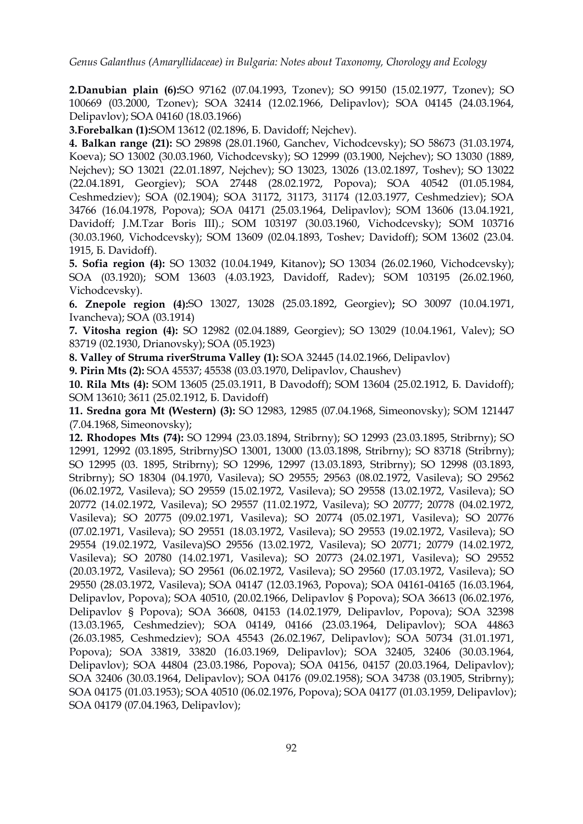*Genus Galanthus (Amaryllidaceae) in Bulgaria: Notes about Taxonomy, Chorology and Ecology*

**2.Danubian plain (6):**SO 97162 (07.04.1993, Tzonev); SO 99150 (15.02.1977, Tzonev); SO 100669 (03.2000, Tzonev); SOA 32414 (12.02.1966, Delipavlov); SOA 04145 (24.03.1964, Delipavlov); SOA 04160 (18.03.1966)

**3.Forebalkan (1):**SOM 13612 (02.1896, Б. Davidoff; Nejchev).

**4. Balkan range (21):** SO 29898 (28.01.1960, Ganchev, Vichodcevsky); SO 58673 (31.03.1974, Koeva); SO 13002 (30.03.1960, Vichodcevsky); SO 12999 (03.1900, Nejchev); SO 13030 (1889, Nejchev); SO 13021 (22.01.1897, Nejchev); SO 13023, 13026 (13.02.1897, Toshev); SO 13022 (22.04.1891, Georgiev); SOA 27448 (28.02.1972, Popova); SOA 40542 (01.05.1984, Ceshmedziev); SOA (02.1904); SOA 31172, 31173, 31174 (12.03.1977, Ceshmedziev); SOA 34766 (16.04.1978, Popova); SOA 04171 (25.03.1964, Delipavlov); SOM 13606 (13.04.1921, Davidoff; J.M.Тzar Boris III).; SOM 103197 (30.03.1960, Vichodcevsky); SOM 103716 (30.03.1960, Vichodcevsky); SOM 13609 (02.04.1893, Toshev; Davidoff); SOM 13602 (23.04. 1915, Б. Davidoff).

**5. Sofia region (4):** SO 13032 (10.04.1949, Kitanov)**;** SO 13034 (26.02.1960, Vichodcevsky); SOA (03.1920); SOM 13603 (4.03.1923, Davidoff, Radev); SOM 103195 (26.02.1960, Vichodcevsky).

**6. Znepole region (4):**SO 13027,13028 (25.03.1892, Georgiev)**;** SO 30097 (10.04.1971, Ivancheva); SOA (03.1914)

**7. Vitosha region (4):** SO 12982 (02.04.1889, Georgiev); SO 13029 (10.04.1961, Valev); SO 83719 (02.1930, Drianovsky); SOA (05.1923)

**8. Valley of Struma riverStruma Valley (1):** SOA 32445 (14.02.1966, Delipavlov)

**9. Pirin Mts (2):** SOA 45537; 45538 (03.03.1970, Delipavlov, Chaushev)

**10. Rila Mts (4):** SOM 13605 (25.03.1911, B Davodoff); SOM 13604 (25.02.1912, Б. Davidoff); SOM 13610; 3611 (25.02.1912, Б. Davidoff)

**11. Sredna gora Mt (Western) (3):** SO 12983, 12985 (07.04.1968, Simeonovsky); SOM 121447 (7.04.1968, Simeonovsky);

**12. Rhodopes Mts (74):** SO 12994 (23.03.1894, Stribrny); SO 12993 (23.03.1895, Stribrny); SO 12991, 12992 (03.1895, Stribrny)SO 13001, 13000 (13.03.1898, Stribrny); SO 83718 (Stribrny); SO 12995 (03. 1895, Stribrny); SO 12996, 12997 (13.03.1893, Stribrny); SO 12998 (03.1893, Stribrny); SO 18304 (04.1970, Vasileva); SO 29555; 29563 (08.02.1972, Vasileva); SO 29562 (06.02.1972, Vasileva); SO 29559 (15.02.1972, Vasileva); SO 29558 (13.02.1972, Vasileva); SO 20772 (14.02.1972, Vasileva); SO 29557 (11.02.1972, Vasileva); SO 20777; 20778 (04.02.1972, Vasileva); SO 20775 (09.02.1971, Vasileva); SO 20774 (05.02.1971, Vasileva); SO 20776 (07.02.1971, Vasileva); SO 29551 (18.03.1972, Vasileva); SO 29553 (19.02.1972, Vasileva); SO 29554 (19.02.1972, Vasileva)SO 29556 (13.02.1972, Vasileva); SO 20771; 20779 (14.02.1972, Vasileva); SO 20780 (14.02.1971, Vasileva); SO 20773 (24.02.1971, Vasileva); SO 29552 (20.03.1972, Vasileva); SO 29561 (06.02.1972, Vasileva); SO 29560 (17.03.1972, Vasileva); SO 29550 (28.03.1972, Vasileva); SOA 04147 (12.03.1963, Popova); SOA 04161-04165 (16.03.1964, Delipavlov, Popova); SOA 40510, (20.02.1966, Delipavlov § Popova); SOA 36613 (06.02.1976, Delipavlov § Popova); SOA 36608, 04153 (14.02.1979, Delipavlov, Popova); SOA 32398 (13.03.1965, Ceshmedziev); SOA 04149, 04166 (23.03.1964, Delipavlov); SOA 44863 (26.03.1985, Ceshmedziev); SOA 45543 (26.02.1967, Delipavlov); SOA 50734 (31.01.1971, Popova); SOA 33819, 33820 (16.03.1969, Delipavlov); SOA 32405, 32406 (30.03.1964, Delipavlov); SOA 44804 (23.03.1986, Popova); SOA 04156, 04157 (20.03.1964, Delipavlov); SOA 32406 (30.03.1964, Delipavlov); SOA 04176 (09.02.1958); SOA 34738 (03.1905, Stribrny); SOA 04175 (01.03.1953); SOA 40510 (06.02.1976, Popova); SOA 04177 (01.03.1959, Delipavlov); SOA 04179 (07.04.1963, Delipavlov);